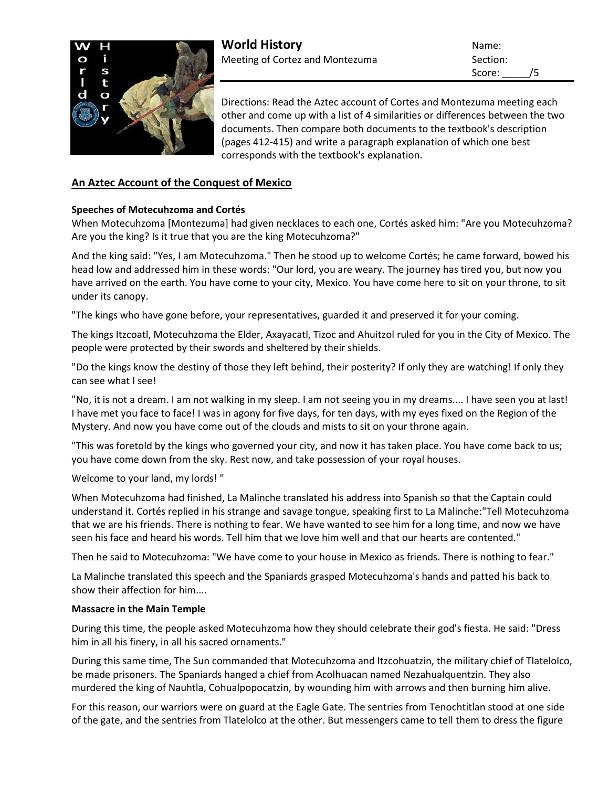

Score: /5

Directions: Read the Aztec account of Cortes and Montezuma meeting each other and come up with a list of 4 similarities or differences between the two documents. Then compare both documents to the textbook's description (pages 412-415) and write a paragraph explanation of which one best corresponds with the textbook's explanation.

## **An Aztec Account of the Conquest of Mexico**

## **Speeches of Motecuhzoma and Cortés**

When Motecuhzoma [Montezuma] had given necklaces to each one, Cortés asked him: "Are you Motecuhzoma? Are you the king? Is it true that you are the king Motecuhzoma?"

And the king said: "Yes, I am Motecuhzoma." Then he stood up to welcome Cortés; he came forward, bowed his head low and addressed him in these words: "Our lord, you are weary. The journey has tired you, but now you have arrived on the earth. You have come to your city, Mexico. You have come here to sit on your throne, to sit under its canopy.

"The kings who have gone before, your representatives, guarded it and preserved it for your coming.

The kings Itzcoatl, Motecuhzoma the Elder, Axayacatl, Tizoc and Ahuitzol ruled for you in the City of Mexico. The people were protected by their swords and sheltered by their shields.

"Do the kings know the destiny of those they left behind, their posterity? If only they are watching! If only they can see what I see!

"No, it is not a dream. I am not walking in my sleep. I am not seeing you in my dreams.... I have seen you at last! I have met you face to face! I was in agony for five days, for ten days, with my eyes fixed on the Region of the Mystery. And now you have come out of the clouds and mists to sit on your throne again.

"This was foretold by the kings who governed your city, and now it has taken place. You have come back to us; you have come down from the sky. Rest now, and take possession of your royal houses.

Welcome to your land, my lords! "

When Motecuhzoma had finished, La Malinche translated his address into Spanish so that the Captain could understand it. Cortés replied in his strange and savage tongue, speaking first to La Malinche:"Tell Motecuhzoma that we are his friends. There is nothing to fear. We have wanted to see him for a long time, and now we have seen his face and heard his words. Tell him that we love him well and that our hearts are contented."

Then he said to Motecuhzoma: "We have come to your house in Mexico as friends. There is nothing to fear."

La Malinche translated this speech and the Spaniards grasped Motecuhzoma's hands and patted his back to show their affection for him....

## **Massacre in the Main Temple**

During this time, the people asked Motecuhzoma how they should celebrate their god's fiesta. He said: "Dress him in all his finery, in all his sacred ornaments."

During this same time, The Sun commanded that Motecuhzoma and Itzcohuatzin, the military chief of Tlatelolco, be made prisoners. The Spaniards hanged a chief from Acolhuacan named Nezahualquentzin. They also murdered the king of Nauhtla, Cohualpopocatzin, by wounding him with arrows and then burning him alive.

For this reason, our warriors were on guard at the Eagle Gate. The sentries from Tenochtitlan stood at one side of the gate, and the sentries from Tlatelolco at the other. But messengers came to tell them to dress the figure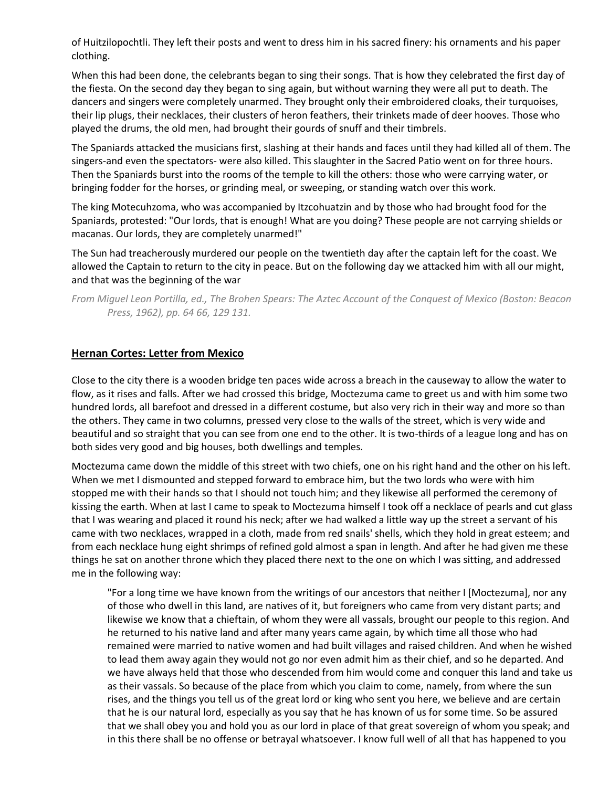of Huitzilopochtli. They left their posts and went to dress him in his sacred finery: his ornaments and his paper clothing.

When this had been done, the celebrants began to sing their songs. That is how they celebrated the first day of the fiesta. On the second day they began to sing again, but without warning they were all put to death. The dancers and singers were completely unarmed. They brought only their embroidered cloaks, their turquoises, their lip plugs, their necklaces, their clusters of heron feathers, their trinkets made of deer hooves. Those who played the drums, the old men, had brought their gourds of snuff and their timbrels.

The Spaniards attacked the musicians first, slashing at their hands and faces until they had killed all of them. The singers-and even the spectators- were also killed. This slaughter in the Sacred Patio went on for three hours. Then the Spaniards burst into the rooms of the temple to kill the others: those who were carrying water, or bringing fodder for the horses, or grinding meal, or sweeping, or standing watch over this work.

The king Motecuhzoma, who was accompanied by Itzcohuatzin and by those who had brought food for the Spaniards, protested: "Our lords, that is enough! What are you doing? These people are not carrying shields or macanas. Our lords, they are completely unarmed!"

The Sun had treacherously murdered our people on the twentieth day after the captain left for the coast. We allowed the Captain to return to the city in peace. But on the following day we attacked him with all our might, and that was the beginning of the war

*From Miguel Leon Portilla, ed., The Brohen Spears: The Aztec Account of the Conquest of Mexico (Boston: Beacon Press, 1962), pp. 64 66, 129 131.*

## **Hernan Cortes: Letter from Mexico**

Close to the city there is a wooden bridge ten paces wide across a breach in the causeway to allow the water to flow, as it rises and falls. After we had crossed this bridge, Moctezuma came to greet us and with him some two hundred lords, all barefoot and dressed in a different costume, but also very rich in their way and more so than the others. They came in two columns, pressed very close to the walls of the street, which is very wide and beautiful and so straight that you can see from one end to the other. It is two-thirds of a league long and has on both sides very good and big houses, both dwellings and temples.

Moctezuma came down the middle of this street with two chiefs, one on his right hand and the other on his left. When we met I dismounted and stepped forward to embrace him, but the two lords who were with him stopped me with their hands so that I should not touch him; and they likewise all performed the ceremony of kissing the earth. When at last I came to speak to Moctezuma himself I took off a necklace of pearls and cut glass that I was wearing and placed it round his neck; after we had walked a little way up the street a servant of his came with two necklaces, wrapped in a cloth, made from red snails' shells, which they hold in great esteem; and from each necklace hung eight shrimps of refined gold almost a span in length. And after he had given me these things he sat on another throne which they placed there next to the one on which I was sitting, and addressed me in the following way:

"For a long time we have known from the writings of our ancestors that neither I [Moctezuma], nor any of those who dwell in this land, are natives of it, but foreigners who came from very distant parts; and likewise we know that a chieftain, of whom they were all vassals, brought our people to this region. And he returned to his native land and after many years came again, by which time all those who had remained were married to native women and had built villages and raised children. And when he wished to lead them away again they would not go nor even admit him as their chief, and so he departed. And we have always held that those who descended from him would come and conquer this land and take us as their vassals. So because of the place from which you claim to come, namely, from where the sun rises, and the things you tell us of the great lord or king who sent you here, we believe and are certain that he is our natural lord, especially as you say that he has known of us for some time. So be assured that we shall obey you and hold you as our lord in place of that great sovereign of whom you speak; and in this there shall be no offense or betrayal whatsoever. I know full well of all that has happened to you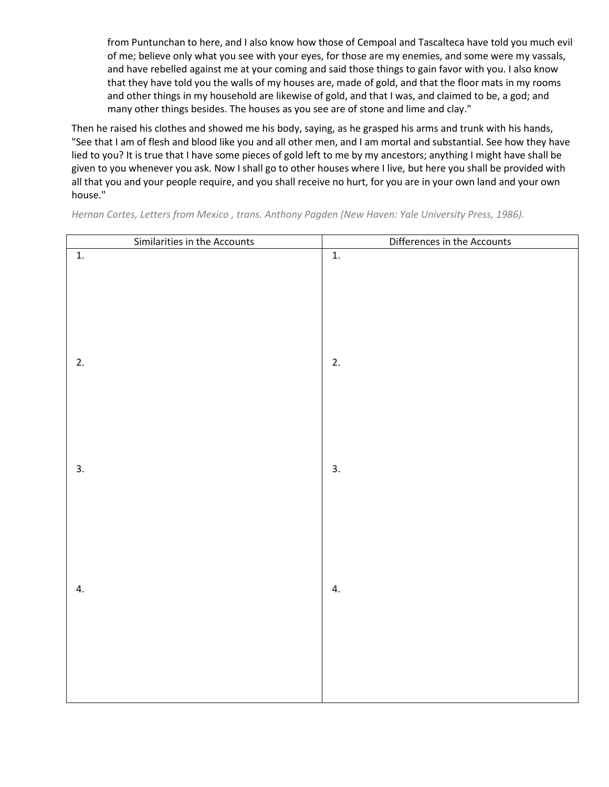from Puntunchan to here, and I also know how those of Cempoal and Tascalteca have told you much evil of me; believe only what you see with your eyes, for those are my enemies, and some were my vassals, and have rebelled against me at your coming and said those things to gain favor with you. I also know that they have told you the walls of my houses are, made of gold, and that the floor mats in my rooms and other things in my household are likewise of gold, and that I was, and claimed to be, a god; and many other things besides. The houses as you see are of stone and lime and clay."

Then he raised his clothes and showed me his body, saying, as he grasped his arms and trunk with his hands, "See that I am of flesh and blood like you and all other men, and I am mortal and substantial. See how they have lied to you? It is true that I have some pieces of gold left to me by my ancestors; anything I might have shall be given to you whenever you ask. Now I shall go to other houses where I live, but here you shall be provided with all that you and your people require, and you shall receive no hurt, for you are in your own land and your own house."

| Similarities in the Accounts | Differences in the Accounts |  |  |  |  |
|------------------------------|-----------------------------|--|--|--|--|
| 1.                           | $\overline{1}$ .            |  |  |  |  |
|                              |                             |  |  |  |  |
|                              |                             |  |  |  |  |
|                              |                             |  |  |  |  |
|                              |                             |  |  |  |  |
|                              |                             |  |  |  |  |
| 2.                           | 2.                          |  |  |  |  |
|                              |                             |  |  |  |  |
|                              |                             |  |  |  |  |
|                              |                             |  |  |  |  |
|                              |                             |  |  |  |  |
|                              |                             |  |  |  |  |
| 3.                           | 3.                          |  |  |  |  |
|                              |                             |  |  |  |  |
|                              |                             |  |  |  |  |
|                              |                             |  |  |  |  |
|                              |                             |  |  |  |  |
|                              |                             |  |  |  |  |
| 4.                           | 4.                          |  |  |  |  |
|                              |                             |  |  |  |  |
|                              |                             |  |  |  |  |
|                              |                             |  |  |  |  |
|                              |                             |  |  |  |  |
|                              |                             |  |  |  |  |
|                              |                             |  |  |  |  |

*Hernan Cortes, Letters from Mexico , trans. Anthony Pagden (New Haven: Yale University Press, 1986).*